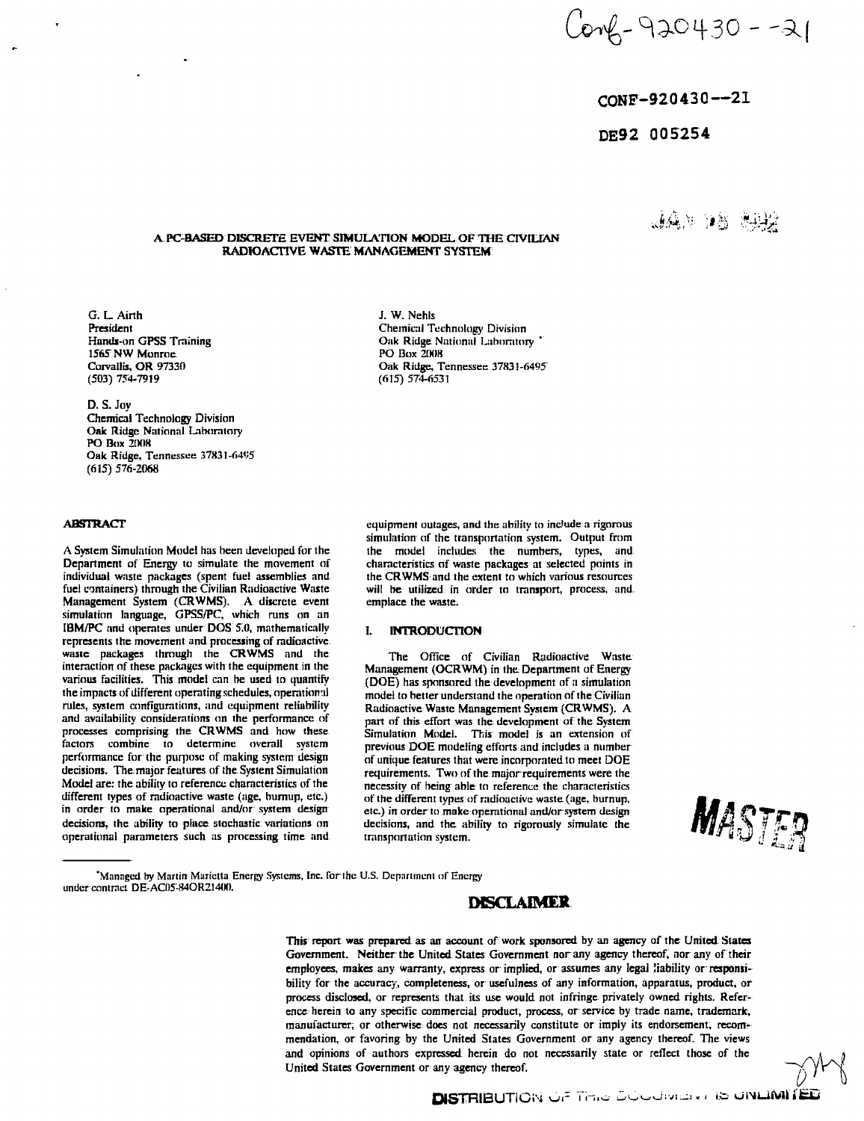Conf - 920430 - -21

## CONF-92 043 0—21

AAN AN CHA

# DE92 005254

## A **PC-BASED** DISCRETE EVENT **SIMULATION MODEL** OF THE CIVILIAN **RADIOACTIVE WASTE MANAGEMENT** SYSTEM

G. L. Airth President Hands-on GPSS Training 1565 NW Monroe Corvallis, OR 97330 (503) 754-7919

D. S. Joy

Chemical Technology Division Oak Ridge National Laboratory PO Box 2008 Oak Ridge, Tennessee 37831-6495 (615) 576-2068

## **ABSTRACT**

A System Simulation Model has been developed for the Department of Energy to simulate the movement of individual waste packages (spent fuel assemblies and fuel containers) through the Civilian Radioactive Waste Management System (CRWMS). A discrete event simulation language, GPSS/PC, which runs on an IBM/PC and operates under DOS 5.0, mathematically represents the movement and processing of radioactive waste packages through the CRWMS and the interaction of these packages with the equipment in the various facilities. This model can be used to quantify the impacts of different operating schedules, operational rules, system configurations, and equipment reliability and availability considerations on the performance of processes comprising the CRWMS and how these factors combine to determine overall system performance for the purpose of making system design decisions. The:major features of the System Simulation Model are: the ability to reference characteristics of the different types of radioactive waste (age, burnup, etc.) in order to make operational and/or system design decisions, the ability to place stochastic variations on operational parameters such us processing time and

J. W. Nehls Chemical Technology Division Oak Ridge National Laboratory ' PO Box 2008 Oak Ridge, Tennessee 37831-6495 (fi15) 574-6531

equipment outages, and the ability to indude a rigorous simulation of the transportation system. Output from the model includes the numbers, types, and characteristics of waste packages at selected points in the CRWMS and the extent to which various resources will be utilized in order to transport, process, and. emplace the waste.

## **I. INTRODUCTION**

The Office of Civilian Radioactive Waste. Management (OCRWM) in the Department of Energy (DOE) has sponsored the development of a simulation model to better understand the operation of the Civilian Radioactive Waste Management System (CRWMS). A part of this effort was the development of the System Simulation Model. This model is an extension of previous DOE modeling efforts and includes a number of unique features that were incorporated to meet DOE requirements. Two of the major requirements were the necessity of being able to reference the characteristics of the different types of radioactive waste (age, burnup, etc.) in order to make operational ami/or system design decisions, and the ability to rigorously simulate the transportation system.

MASTER

'Managed by Martin Marietta Energy Systems, Inc. farthc U.S. Department *n(* Energy under contract DE-AC05-84OR21400.

# **DISCLAIMER**

This report was prepared as an account of work sponsored by an agency of the United: States Government. Neither the United States Government nor any agency thereof, nor any of their employees, makes any warranty, express or implied, or assumes any legal liability or responsibility for the accuracy, completeness, or usefulness of any information, apparatus, product, or process disclosed, or represents that its use would not infringe privately owned rights. Reference herein to any specific commercial product, process, or service by trade name, trademark, manufacturer, or otherwise does not necessarily constitute or imply its endorsement, recommendation, or favoring by the United States Government or any agency thereof. The views and opinions of authors expressed herein do not necessarily state or reflect those of the United States Government or any agency thereof.

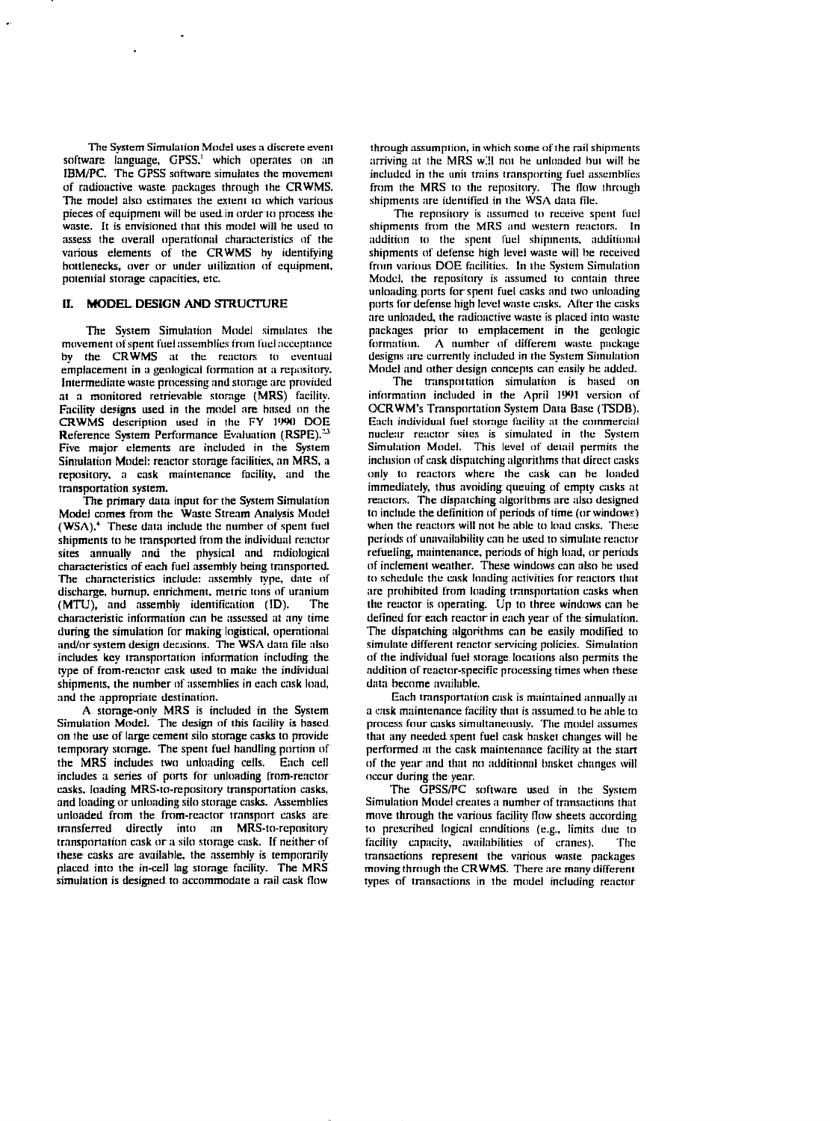The System Simulation Model uses a discrete event software language, GPSS.' which operates on an IBM/PC. The GPSS software simulates the movement of radioactive waste packages through the CRWMS. The model also estimates the extent to which various pieces of equipment wiil be used in order to process the waste. It is envisioned that this model will he used to assess the overall operational characteristics of the various elements of the CRWMS by identifying bottlenecks, over or under utilization of equipment, potential storage capacities, etc.

## **II. MODEL DESIGN AND** STRUCTURE

The System Simulation Model simulates the movement of spent fuel assemblies from fuel acceptance by the CRWMS at the reactors to eventual emplacement in a geological formation at a repository. Intermediate waste processing and storage are provided at a monitored retrievable storage (MRS) facility. Facility designs used in the model are based on the CRWMS description used in the FY 1W0 DOE Reference System Performance Evaluation (RSPE).<sup>33</sup> Five major elements are included in the System Simulation Model: reactor storage facilities, an MRS, a repository, a cask maintenance facility, and the transportation system.

The primary data input for the System Simulation Model comes from the Waste Stream Analysis Model (WSA).<sup>4</sup> These data include the number of spent fuel shipments to he transported from the individual reactor sites annually and the physical and radiological characteristics of each fuel assembly being transported. The characteristics include: assembly type, date of discharge, burnup. enrichment, metric tons of uranium (MTU), and assembly identification (ID). The characteristic information can be assessed at any time during the simulation for making logistical, operational and/or system design decisions. The WSA data file also includes key transportation information including the type of from-reactor cask ascd to make the individual shipments, the number of assemblies in each cask load, and the appropriate destination.

A storage-only MRS is included in the System Simulation Model. The design of this facility is based on the use of large cement silo storage casks to provide temporary storage. The spent fuel handling portion of the MRS includes two unloading cells. Each cell includes a series of ports for unloading from-reactor casks, loading MRS-to-repository transportation casks, and loading or unloading silo storage casks. Assemblies unloaded from the from-reactor transport casks are transferred directly into an MRS-to-repository transportation cask or a silo storage cask, if neither of these casks are available, the assembly is temporarily placed into the in-cell lag storage facility. The MRS simulation is designed to accommodate a rail cask flow

through assumption, in which some of the rail shipments arriving at the MRS w^il not be unloaded but will be included in the unit trains transporting fuel assemblies from the MRS to the repository. The flow through shipments are identified in the WSA data file.

The repository is assumed to receive spent fuel shipments from the MRS and western reactors. In addition to the spent fuel shipments, additional shipments of defense high level waste will be received from various DOE facilities. In the System Simulation Model, the repository is assumed to contain three unloading ports forspent fuel casks and two unloading ports for defense high level waste casks. After the casks arc unloaded, the radioactive waste is placed into waste packages prior to emplacement in the geologic formation. A number of different waste package designs are currently included in the System Simulation Model and other design concepts can easily be added.

The transportation simulation is based on information included in the April 1991 version of OCRWM's Transportation System Data Base (TSDB). Each individual fuel storage facility at the commercial nuclear reactor sites is simulated in the System Simulation Model. This level of detail permits the inclusion of cask dispatching algorithms that direct casks only to reactors where the cask can be loaded immediately, thus avoiding queuing of empty casks at reactors. The dispatching algorithms arc also designed to include the definition of periods of time (orwindows) when the reactors will not be able to load casks. These periods of unavailability can he used to simulate reactor refueling, maintenance, periods of high load, or periods of inclement weather. These windows can also he used to schedule the cask loading activities for reactors that arc prohibited from loading transportation casks when the reactor is operating. Up to three windows can he defined for each reactor in each year of the simulation. The dispatching algorithms can be easily modified to simulate different reactor servicing policies. Simulation of the individual fuel storage locations also permits the addition of reactor-specific processing times when these data become available.

Each transportation cask is maintained annually at a cask maintenance facility that is assumed to be able to process four casks simultaneously. The model assumes that any needed spent fuel cask basket changes will be performed at the cask maintenance facility at the start of the year and that no additional basket changes will occur during the year.

The GPSS/PC software used in the System Simulation Model creates a number of transactions that move through the various facility flow sheets according to prescribed logical conditions (e.g., limits due to facility capacity, availabilities of cranes). The transactions represent the various waste packages moving through the CRWMS. There arc many different types of transactions in the model including reactor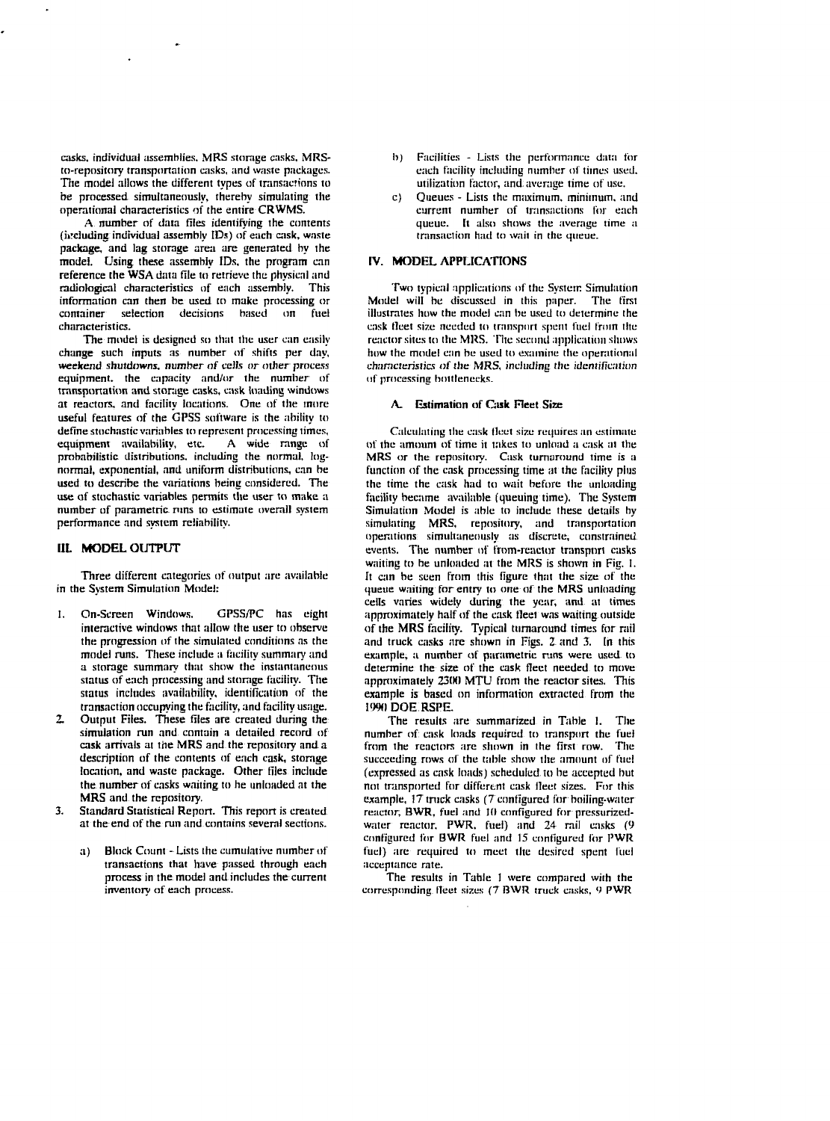casks, individual assemblies. MRS storage casks. MRSto-repnsitory transportation casks, and waste packages. The model allows the different types of transactions to be processed simultaneously, thereby simulating the operational characteristics of the entire CRWMS.

A number of data files identifying the contents (including individual assembly IDs) of each cask, waste package, and lag storage area are generated by the model. Using these assembly IDs. (he program can reference the WSA data file to retrieve the physical and radiological characteristics of each assembly. This information can then be used to make processing or container selection decisions based on fuel characteristics.

The model is designed so that the user can easily change such inputs as number of shifts per day, weekend shutdowns, number of cells or other process equipment, the capacity and/or the number of transportation and storage casks, cask loading windows at reactors, and facility locations. One of the mure useful features of the GPSS software is the ability to define stochastic variables to represent processing times,<br>equipment availability, etc. A wide range of equipment availability, etc. probabilistic distributions, including the normal, lognormal, exponential, and uniform distributions, can be used to describe the variations being considered. The use of stochastic variables permits the user to make a number of parametric runs to estimate overall system performance and system reliability.

#### **III. MODEL** OUTPUT

Three different categories of output are available in the System Simulation Model:

- 1. On-Screen Windows. GPSS/PC has eight interactive windows that allow the user to observe the progression of the simulated conditions as the model runs. These include a facility summary and a storage summary thai show the instantaneous status of each processing and storage facility. The status includes availability, identification of the transaction occupying the facility, and facility usage.
- *2.* Output Files. These files are created during the simulation run and contain a detailed record of cask arrivals at the MRS and the repository and a description of the contents of each cask, storage location, and waste package. Other tiles include the number of casks waiting to he unloaded at the MRS and the repository.
- Standard Statistical Report. This report is created at the end of the run and contains several sections.
	- a) Block Count Lists the cumulative number of transactions that have passed through each process in the model and includes the current inventory of each process.
- b) Facilities Lists the performance data for each facility including number of times used, utilization factor, and. average time of use.
- c) Queues Lists the maximum, minimum, and current number of transactions for each queue. It also shows the average time a transaction had to wait in the queue.

## **IV. MODEL APPLICATIONS**

Two typical applications of the System Simulation Model will be discussed in this paper. The first illustrates how the model can be used to determine the cask tleet size needed to transport spent fuel from the reactorsites to the MRS. The second application shows how the model can be used to examine the operational characteristics of the MRS, including the identification of processing bottlenecks.

## **A. Estimation** of **Gisk** Fleet Size

Calculating the cask tleet size requires an estimate of the amount of time it takes to unload a cask at the MRS or the repository. Cask turnaround time is a function of the cask processing time at the facility pius the time the cask had to wait before the unloading facility became available (queuing time). The System Simulation Model is able to include these details by simulating MRS, repository, and transportation operations simultaneously as discrete, constrained events. The number of from-reactor transport casks waiting to he unloaded at the MRS is shown in Fig. 1. It can be seen from this figure that the size of the queue waiting for entry to one of the MRS unloading cells varies widely during the year, and at times approximately half of the cask fleet was waiting outside of the MRS facility. Typical turnaround times for rail and truck casks are shown in Figs. 2 and 3. In this example, a number of parametric runs were used to determine the size of the cask fleet needed to move approximately 2300 MTU from the reactor sites. This example is based on information extracted from the *\<m\* DOE RSPE.

The results are summarized in Table I. The number of cask loads required to transport the fuel from the reactors are shown in the first row. The succeeding rows of the table show die amount of fuel (expressed as cask loads) scheduled to be accepted but not transported for different cask Heet sizes. For this example, 17 truck casks (7 configured for boiling-water reactor, BWR, fuel and 10 configured for pressurizedwater reactor. PWR. fuel) and 24 rail casks (9 configured for BWR fuel and 15 configured for PWR fuel) are required to meet the desired spent fuel acceptance rate.

The results in Table 1 were compared with the corresponding fleet sizes (7 BWR truck casks, *')* PWR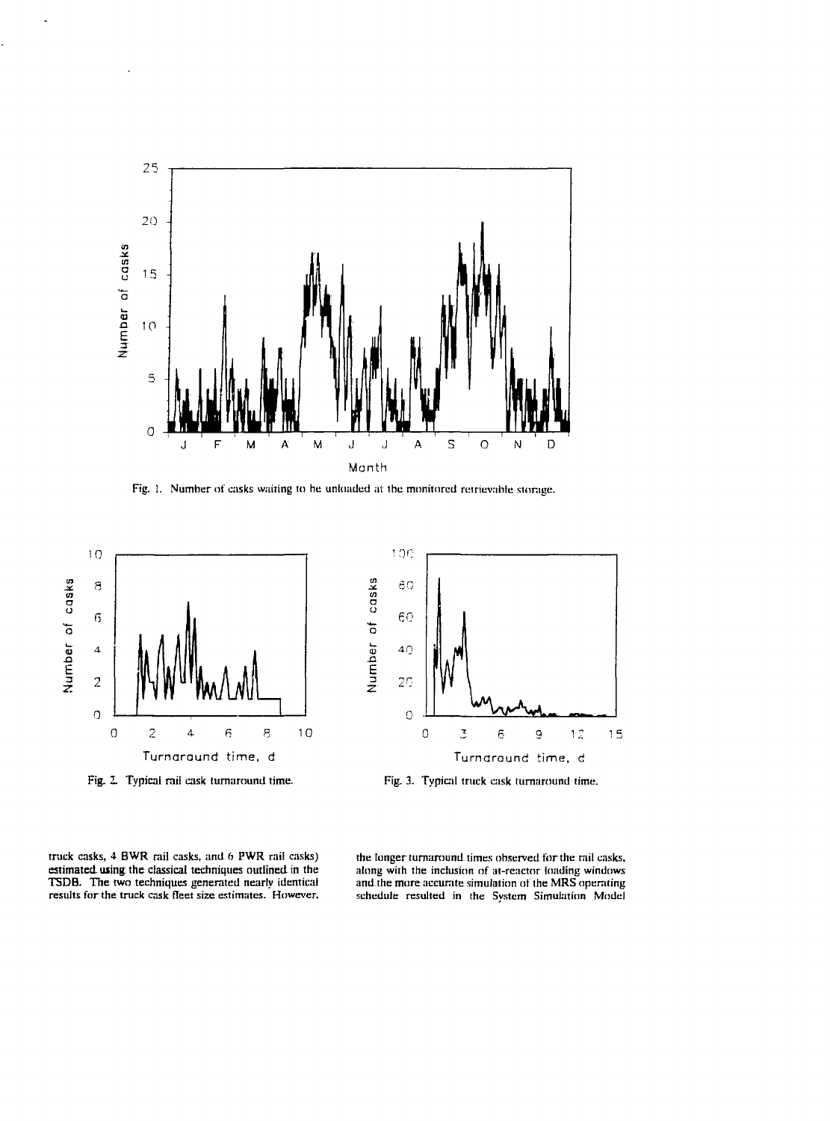

Fig. 1. Number of casks waiting to he unloaded at the monitored retrievable storage.



truck casks, 4 BWR rail casks, and 6 PWR rail casks) estimated using the classical techniques outlined in the TSDB. The two techniques generated nearly identical results for the truck cask fleet size estimates. However.

the longer turnaround times observed for the rail casks, along with the inclusion of at-reactor loading windows and the more accurate simulation of the MRS operating schedule resulted in the Svstem Simulation Model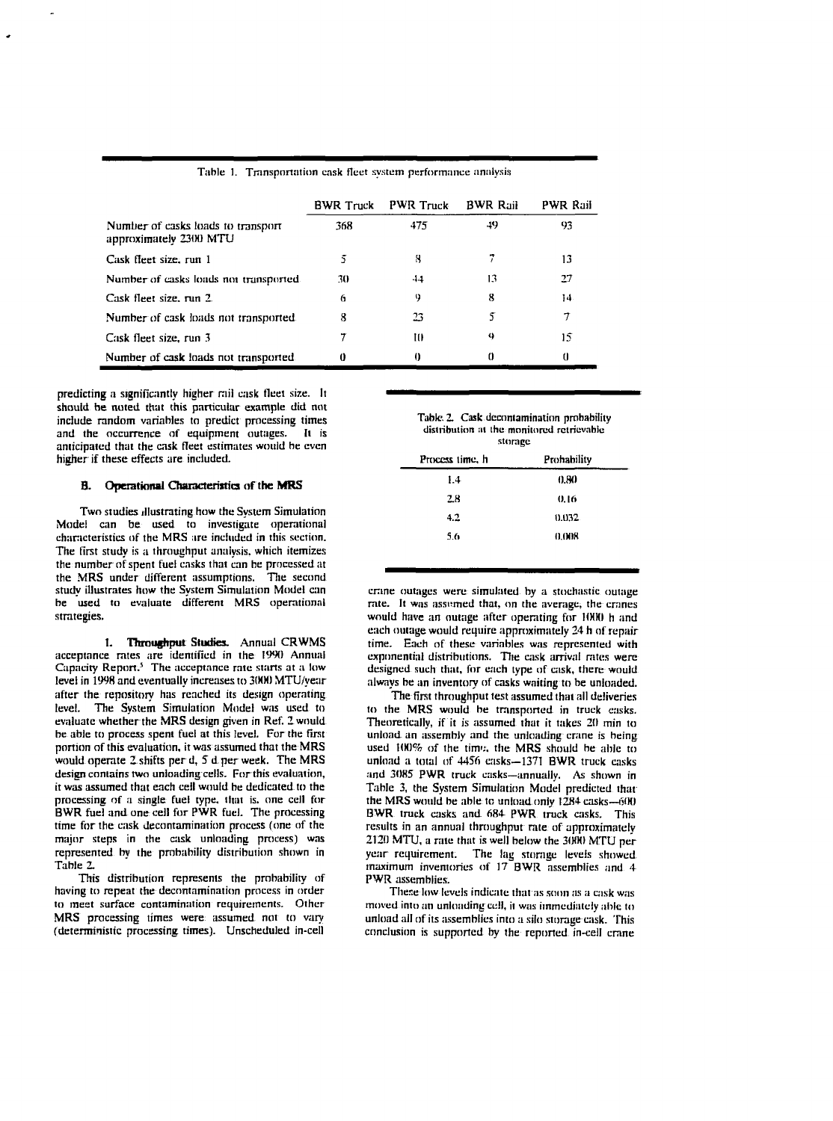|                                                              | <b>BWR</b> Truck | <b>PWR Truck</b> | <b>BWR Rail</b> | <b>PWR Rail</b> |
|--------------------------------------------------------------|------------------|------------------|-----------------|-----------------|
| Number of casks loads to transport<br>approximately 2300 MTU | 368              | 475              | -49             | 93              |
| Cask fleet size, run 1                                       | 5                | x                |                 | 13              |
| Number of casks loads not transported.                       | 30               | 44               | 13              | 27              |
| Cask fleet size, run 2.                                      | 6                | 9                | 8               | 14              |
| Number of cask loads not transported.                        | 8                | 23               |                 |                 |
| Cask fleet size, run 3                                       |                  | ш                | 4               | 15              |
| Number of cask loads not transported                         | 0                | 0                | 0               |                 |

Table 1. Transportation cask fleet system performance analysis

predicting a significantly higher mil cask tleet size, **!. It** should he noted that this particular example did not include random variables to predict processing times and the occurrence of equipment outages. It is anticipated that the cask fleet estimates would he even higher if these effects are included.

#### **B. Operational Characteristics of the MRS**

Two studies illustrating how the System Simulation Model can be used to investigate operational characteristics of the MRS are included in this section. The first study is a throughput analysis, which itemizes the number of spent fuel casks that can be processed at the MRS under different assumptions. The second study illustrates how the System Simulation Model can be used to evaluate different MRS operational strategies.

**1. Throughput Studies.** Annual CRWMS acceptance rates are identified in the 1990 Annual Capacity Report.<sup>5</sup> The acceptance rate starts at a low level in 1998 and eventually increases to 3(HH) MTU/year after the repository has reached its design operating level. The System Simulation Model was used to evaluate whether the MRS design given in Ref. Z would be able to process spent fuel at this level. For the first portion of this evaluation, it was assumed that the MRS would operate 2 shifts per d, 5 d per week. The MRS design contains two unloading cells. For this evaluation, it was assumed that each ceil would be dedicated to the processing of a single fuel type, that is. one cell for BWR fuel and one cell for PWR fuel. The processing time for the cask decontamination process (one of the major steps in the cask unloading process) was represented by the probability distribution shown in Table 2.

This distribution represents the probability of having to repeat the decontamination process in order to meet surface contamination requirements. Other MRS processing times were assumed not to vary (deterministic processing times). Unscheduled in-cell

**Table. 2. Cask decontamination probability** distribution at the monitored retrievable **storage**

| .               |             |  |  |  |
|-----------------|-------------|--|--|--|
| Process time, h | Prohability |  |  |  |
| 1.4             | 0.80        |  |  |  |
| 2.8             | 0.16        |  |  |  |
| 4.2             | 0.032       |  |  |  |
| 5.6             | 0.008       |  |  |  |
|                 |             |  |  |  |

crane outages were simulated by a stochastic outage rate. It was assumed that, on the average, the cranes would have an outage after operating for 1000 h and each outage would require approximately 24 h of repair time. Each of these variables was represented with exponential distributions. The cask arrival rates were designed such that, for each type of cask, there would always be an inventory of casks wailing to be unloaded.

The first throughput test assumed that all deliveries to the MRS would be transported in truck casks. Theoretically, if it is assumed that it takes 20 min to unload an assembly and the unloading crane is being used 100% of the time, the MRS should be able to unload a total of 4456 casks-1371 BWR truck casks and 3085 PWR truck casks—annually. As shown in Table 3, the System Simulation Model predicted that the MRS would be able to unload only 1284 casks--600 BWR truck casks and fi84 PWR truck casks. This results in an annual throughput rate of approximately 212(1 MTU, a rate that is well below the 3000 MTU per year requirement. The lag storage levels showed maximum inventories of 17 BWR assemblies and 4 PWR assemblies.

These low levels indicate that as soon as a cask was moved into an unloading cell, it was immediately able to unload all of its assemblies into a silo storage cask. This conclusion is supported by the reported in-cell crane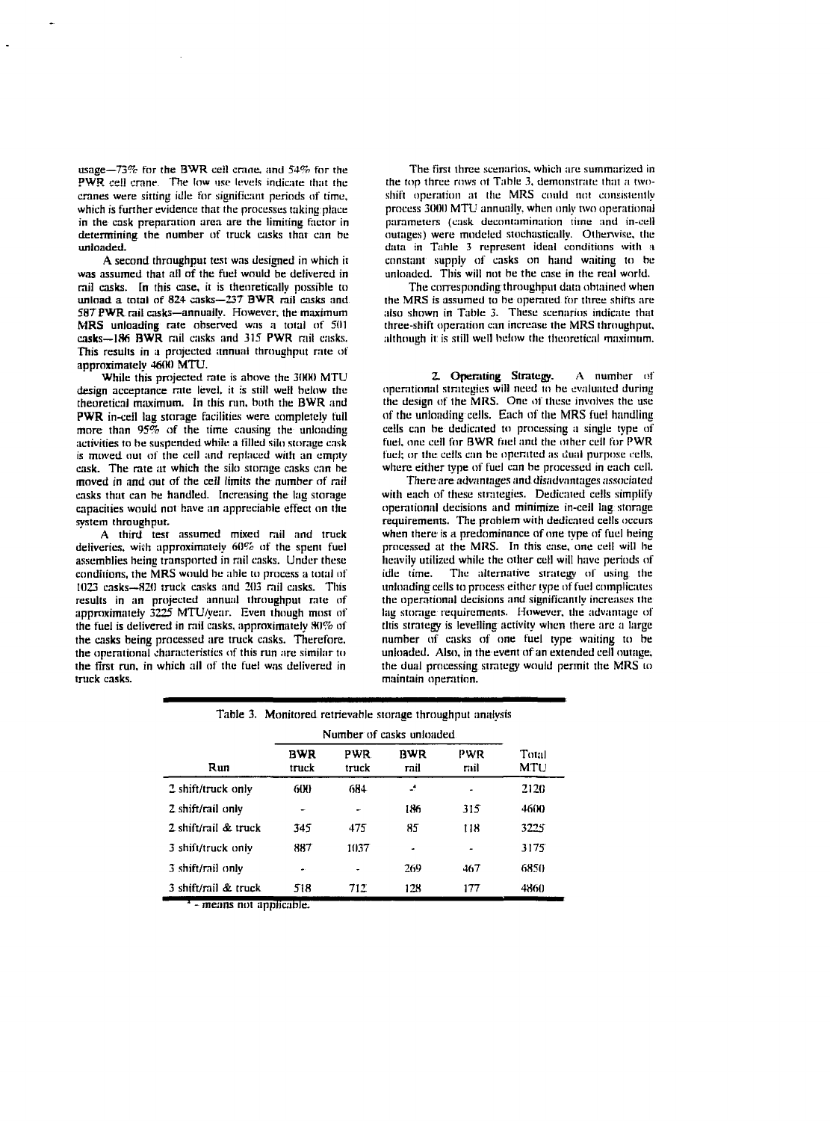usage—73% for the BWR ceil crane, and 54% for the PWR cell crane. The low use levels indicate that the cranes were sitting idle for significant periods of time, which is further evidence that the processes taking place in the cask preparation area are the limiting factor in determining the number of truck casks that can be unloaded.

A second throughput test was designed in which it was assumed that all of the fuel would be delivered in rail casks. In this case, it is theoretically possible to unload a total of 824- casks—237 BWR rail casks and 587 PWR rail casks—annually. However, the maximum MRS unloading rate observed was a total of 501 casks—18fi **BWR** rail casks and 315 **PWR** rail casks. This results in a projected annual throughput rate of approximately 4600 MTU.

While this projected rate is above the 3000 MTU design acceptance rate level, it is still well below the theoretical maximum. In this ran. both the BWR and **PWR** in-ceil lag storage facilities were completely full more than  $95\%$  of the time causing the unloading activities to he suspended while a filled silo storage cask is moved out of the cell and replaced with an empty cask. The rate at which the silo storage casks can be moved in and out of the ceil limits the number of rail casks that can be handled. Increasing the lag storage capacities would not have an appreciable effect on the system throughput.

A third test assumed mixed rail and truck deliveries, with approximately 60% of the spent fuel assemblies being transported in rail casks. Under these conditions, the MRS would be able to process a total of 1023 casks—820 truck casks and 203 rail casks. This results in an projected annual throughput rate of approximately 3225 MTU/year. Even though most of the fuel is delivered in rail casks, approximately 80% of the casks being processed are track casks. Therefore, the operational characteristics of this run are similar to the first run. in which all of the fuel was delivered in truck casks.

The first three scenarios, which are summarized in the top three rows of Table 3, demonstrate that a twoshift operation at the MRS could not consistently process 3000 MTU annually, when only two operational parameters (cask decontamination time and in-cell outages) were modeled stochastically. Otherwise, the data in Table 3 represent ideal conditions with a constant supply of casks on hand waiting to be unloaded. This will not be the case in the real world.

The corresponding throughput data obtained when the MRS is assumed to be operated for three shifts are also shown in Table 3. These scenarios indicate that three-shift operation can increase the MRS throughput, although it is still well below the theoretical maximum.

2. **Operating Strategy.** A number of operational strategies wiil need to be evaluated during the design of the MRS. One of these involves the use of the unloading cells. Each of the MRS fuel handling cells can be dedicated to processing a single type of fuel, one cell for BWR fael and the other cell for PWR fuel; or the cells can be operated as dual purpose cells, where either type of fuel can be processed in each cell.

There are advantages and disadvantages associated with each of these strategies. Dedicated cells simplify operational decisions and minimize in-cell lag storage requirements. The problem with dedicated cells occurs when there is a predominance of one type of fuel being processed at the MRS. In this case, one cell will be heavily utilized while the other cell will have periods of idle time. The alternative strategy of using the unloading cells to process either type of fuel complicates the operational decisions and significantly increases the lag storage requirements. However, the advantage of this strategy is levelling activity when there are a large number of casks of one fuel type waiting to be unloaded. Also, in the event of an extended cell outage, the dual processing strategy would permit the MRS to maintain operation.

|                      |                           |               |                    | Table 3. Monitored retrievable storage throughput analysis |              |
|----------------------|---------------------------|---------------|--------------------|------------------------------------------------------------|--------------|
|                      | Number of casks unloaded. |               |                    |                                                            |              |
| Run                  | BWR<br>truck              | PWR.<br>truck | <b>BWR</b><br>rail | PWR<br>rnil                                                | Total<br>MTU |
| 2 shift/truck only   | 600                       | 684           | ÷                  | -                                                          | 2120         |
| 2 shift/rail only    |                           | ۰             | 186                | 315                                                        | 4600         |
| 2 shift/rail & truck | 345                       | 475           | 85                 | 118                                                        | 3225         |
| 3 shift/truck only   | 887                       | 1037          | ٠                  |                                                            | 3175         |
| 3 shift/rail only    |                           |               | 269                | 467                                                        | 6850         |
| 3 shift/rail & truck | 518                       | 712           | 128                | 177                                                        | <b>4860</b>  |

- means not applicable.